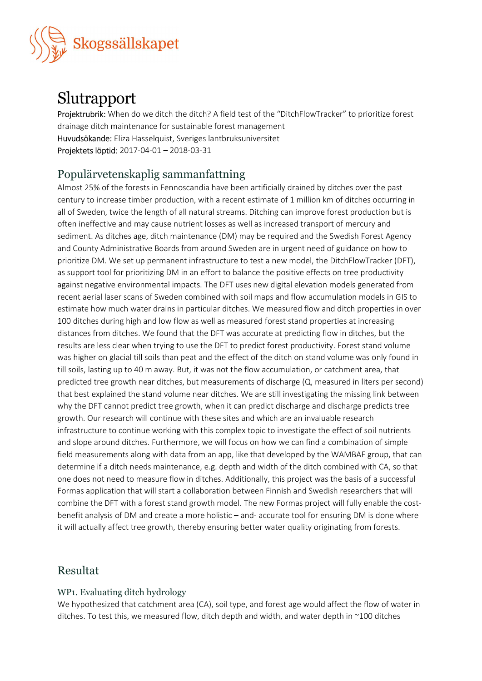

# Slutrapport

Projektrubrik: When do we ditch the ditch? A field test of the "DitchFlowTracker" to prioritize forest drainage ditch maintenance for sustainable forest management Huvudsökande: Eliza Hasselquist, Sveriges lantbruksuniversitet Projektets löptid: 2017-04-01 – 2018-03-31

# Populärvetenskaplig sammanfattning

Almost 25% of the forests in Fennoscandia have been artificially drained by ditches over the past century to increase timber production, with a recent estimate of 1 million km of ditches occurring in all of Sweden, twice the length of all natural streams. Ditching can improve forest production but is often ineffective and may cause nutrient losses as well as increased transport of mercury and sediment. As ditches age, ditch maintenance (DM) may be required and the Swedish Forest Agency and County Administrative Boards from around Sweden are in urgent need of guidance on how to prioritize DM. We set up permanent infrastructure to test a new model, the DitchFlowTracker (DFT), as support tool for prioritizing DM in an effort to balance the positive effects on tree productivity against negative environmental impacts. The DFT uses new digital elevation models generated from recent aerial laser scans of Sweden combined with soil maps and flow accumulation models in GIS to estimate how much water drains in particular ditches. We measured flow and ditch properties in over 100 ditches during high and low flow as well as measured forest stand properties at increasing distances from ditches. We found that the DFT was accurate at predicting flow in ditches, but the results are less clear when trying to use the DFT to predict forest productivity. Forest stand volume was higher on glacial till soils than peat and the effect of the ditch on stand volume was only found in till soils, lasting up to 40 m away. But, it was not the flow accumulation, or catchment area, that predicted tree growth near ditches, but measurements of discharge (Q, measured in liters per second) that best explained the stand volume near ditches. We are still investigating the missing link between why the DFT cannot predict tree growth, when it can predict discharge and discharge predicts tree growth. Our research will continue with these sites and which are an invaluable research infrastructure to continue working with this complex topic to investigate the effect of soil nutrients and slope around ditches. Furthermore, we will focus on how we can find a combination of simple field measurements along with data from an app, like that developed by the WAMBAF group, that can determine if a ditch needs maintenance, e.g. depth and width of the ditch combined with CA, so that one does not need to measure flow in ditches. Additionally, this project was the basis of a successful Formas application that will start a collaboration between Finnish and Swedish researchers that will combine the DFT with a forest stand growth model. The new Formas project will fully enable the costbenefit analysis of DM and create a more holistic – and- accurate tool for ensuring DM is done where it will actually affect tree growth, thereby ensuring better water quality originating from forests.

## Resultat

#### WP1. Evaluating ditch hydrology

We hypothesized that catchment area (CA), soil type, and forest age would affect the flow of water in ditches. To test this, we measured flow, ditch depth and width, and water depth in ~100 ditches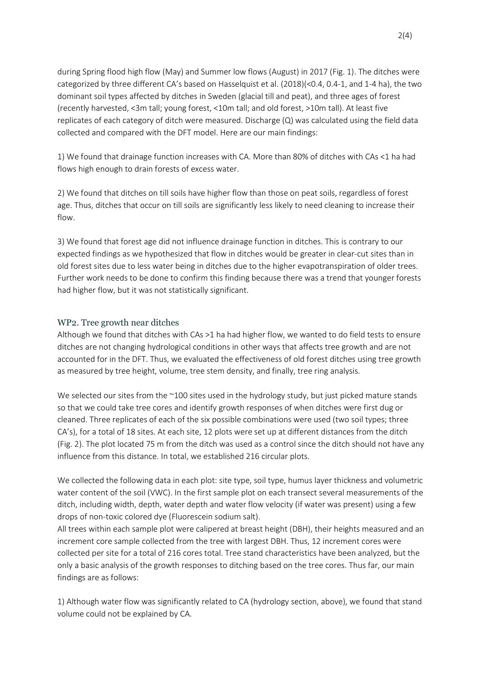during Spring flood high flow (May) and Summer low flows (August) in 2017 (Fig. 1). The ditches were categorized by three different CA's based on Hasselquist et al. (2018)(<0.4, 0.4-1, and 1-4 ha), the two dominant soil types affected by ditches in Sweden (glacial till and peat), and three ages of forest (recently harvested, <3m tall; young forest, <10m tall; and old forest, >10m tall). At least five replicates of each category of ditch were measured. Discharge (Q) was calculated using the field data collected and compared with the DFT model. Here are our main findings:

1) We found that drainage function increases with CA. More than 80% of ditches with CAs <1 ha had flows high enough to drain forests of excess water.

2) We found that ditches on till soils have higher flow than those on peat soils, regardless of forest age. Thus, ditches that occur on till soils are significantly less likely to need cleaning to increase their flow.

3) We found that forest age did not influence drainage function in ditches. This is contrary to our expected findings as we hypothesized that flow in ditches would be greater in clear-cut sites than in old forest sites due to less water being in ditches due to the higher evapotranspiration of older trees. Further work needs to be done to confirm this finding because there was a trend that younger forests had higher flow, but it was not statistically significant.

#### WP2. Tree growth near ditches

Although we found that ditches with CAs >1 ha had higher flow, we wanted to do field tests to ensure ditches are not changing hydrological conditions in other ways that affects tree growth and are not accounted for in the DFT. Thus, we evaluated the effectiveness of old forest ditches using tree growth as measured by tree height, volume, tree stem density, and finally, tree ring analysis.

We selected our sites from the  $\sim$ 100 sites used in the hydrology study, but just picked mature stands so that we could take tree cores and identify growth responses of when ditches were first dug or cleaned. Three replicates of each of the six possible combinations were used (two soil types; three CA's), for a total of 18 sites. At each site, 12 plots were set up at different distances from the ditch (Fig. 2). The plot located 75 m from the ditch was used as a control since the ditch should not have any influence from this distance. In total, we established 216 circular plots.

We collected the following data in each plot: site type, soil type, humus layer thickness and volumetric water content of the soil (VWC). In the first sample plot on each transect several measurements of the ditch, including width, depth, water depth and water flow velocity (if water was present) using a few drops of non-toxic colored dye (Fluorescein sodium salt).

All trees within each sample plot were calipered at breast height (DBH), their heights measured and an increment core sample collected from the tree with largest DBH. Thus, 12 increment cores were collected per site for a total of 216 cores total. Tree stand characteristics have been analyzed, but the only a basic analysis of the growth responses to ditching based on the tree cores. Thus far, our main findings are as follows:

1) Although water flow was significantly related to CA (hydrology section, above), we found that stand volume could not be explained by CA.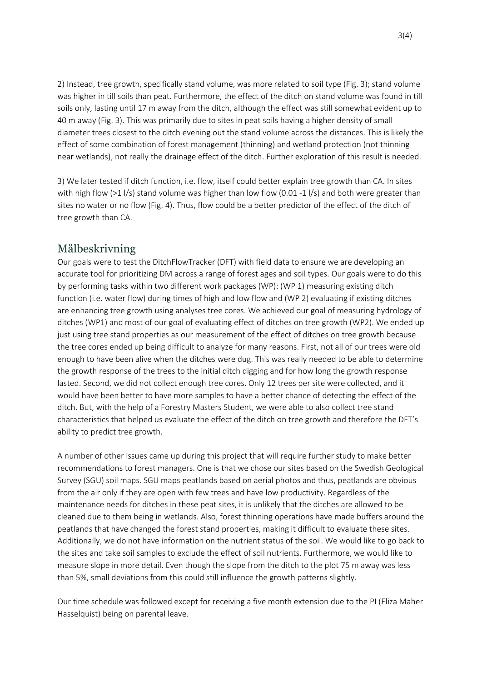2) Instead, tree growth, specifically stand volume, was more related to soil type (Fig. 3); stand volume was higher in till soils than peat. Furthermore, the effect of the ditch on stand volume was found in till soils only, lasting until 17 m away from the ditch, although the effect was still somewhat evident up to 40 m away (Fig. 3). This was primarily due to sites in peat soils having a higher density of small diameter trees closest to the ditch evening out the stand volume across the distances. This is likely the effect of some combination of forest management (thinning) and wetland protection (not thinning near wetlands), not really the drainage effect of the ditch. Further exploration of this result is needed.

3) We later tested if ditch function, i.e. flow, itself could better explain tree growth than CA. In sites with high flow ( $>1$  l/s) stand volume was higher than low flow (0.01 -1 l/s) and both were greater than sites no water or no flow (Fig. 4). Thus, flow could be a better predictor of the effect of the ditch of tree growth than CA.

### Målbeskrivning

Our goals were to test the DitchFlowTracker (DFT) with field data to ensure we are developing an accurate tool for prioritizing DM across a range of forest ages and soil types. Our goals were to do this by performing tasks within two different work packages (WP): (WP 1) measuring existing ditch function (i.e. water flow) during times of high and low flow and (WP 2) evaluating if existing ditches are enhancing tree growth using analyses tree cores. We achieved our goal of measuring hydrology of ditches (WP1) and most of our goal of evaluating effect of ditches on tree growth (WP2). We ended up just using tree stand properties as our measurement of the effect of ditches on tree growth because the tree cores ended up being difficult to analyze for many reasons. First, not all of our trees were old enough to have been alive when the ditches were dug. This was really needed to be able to determine the growth response of the trees to the initial ditch digging and for how long the growth response lasted. Second, we did not collect enough tree cores. Only 12 trees per site were collected, and it would have been better to have more samples to have a better chance of detecting the effect of the ditch. But, with the help of a Forestry Masters Student, we were able to also collect tree stand characteristics that helped us evaluate the effect of the ditch on tree growth and therefore the DFT's ability to predict tree growth.

A number of other issues came up during this project that will require further study to make better recommendations to forest managers. One is that we chose our sites based on the Swedish Geological Survey (SGU) soil maps. SGU maps peatlands based on aerial photos and thus, peatlands are obvious from the air only if they are open with few trees and have low productivity. Regardless of the maintenance needs for ditches in these peat sites, it is unlikely that the ditches are allowed to be cleaned due to them being in wetlands. Also, forest thinning operations have made buffers around the peatlands that have changed the forest stand properties, making it difficult to evaluate these sites. Additionally, we do not have information on the nutrient status of the soil. We would like to go back to the sites and take soil samples to exclude the effect of soil nutrients. Furthermore, we would like to measure slope in more detail. Even though the slope from the ditch to the plot 75 m away was less than 5%, small deviations from this could still influence the growth patterns slightly.

Our time schedule was followed except for receiving a five month extension due to the PI (Eliza Maher Hasselquist) being on parental leave.